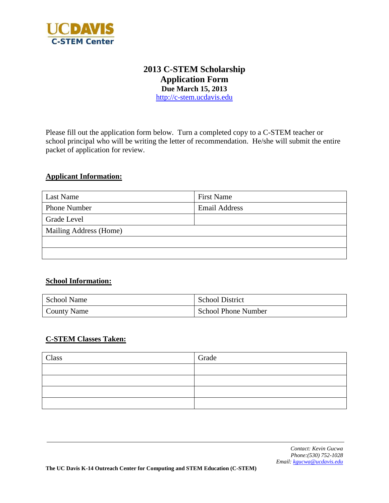

# **2013 C-STEM Scholarship Application Form Due March 15, 2013** [http://c-stem.ucdavis.edu](http://c-stem.ucdavis.edu/)

Please fill out the application form below. Turn a completed copy to a C-STEM teacher or school principal who will be writing the letter of recommendation. He/she will submit the entire packet of application for review.

## **Applicant Information:**

| Last Name              | <b>First Name</b>    |
|------------------------|----------------------|
| <b>Phone Number</b>    | <b>Email Address</b> |
| Grade Level            |                      |
| Mailing Address (Home) |                      |
|                        |                      |
|                        |                      |

## **School Information:**

| School Name        | <b>School District</b>     |
|--------------------|----------------------------|
| <b>County Name</b> | <b>School Phone Number</b> |

## **C-STEM Classes Taken:**

| Class | Grade |
|-------|-------|
|       |       |
|       |       |
|       |       |
|       |       |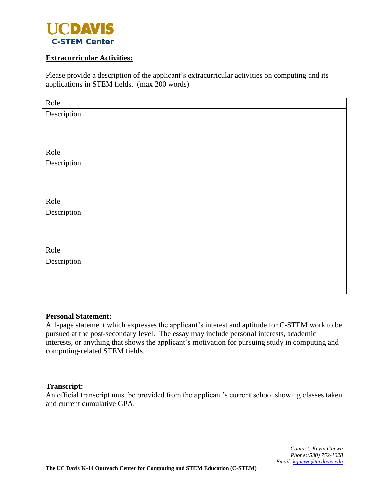

## **Extracurricular Activities:**

Please provide a description of the applicant's extracurricular activities on computing and its applications in STEM fields. (max 200 words)

| Role        |
|-------------|
| Description |
|             |
|             |
|             |
| Role        |
| Description |
|             |
|             |
|             |
| Role        |
| Description |
|             |
|             |
|             |
| Role        |
| Description |
|             |
|             |
|             |

#### **Personal Statement:**

A 1-page statement which expresses the applicant's interest and aptitude for C-STEM work to be pursued at the post-secondary level. The essay may include personal interests, academic interests, or anything that shows the applicant's motivation for pursuing study in computing and computing-related STEM fields.

#### **Transcript:**

An official transcript must be provided from the applicant's current school showing classes taken and current cumulative GPA.